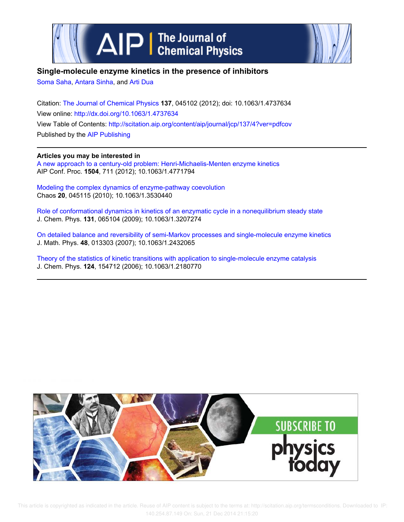



# **Single-molecule enzyme kinetics in the presence of inhibitors**

Soma Saha, Antara Sinha, and Arti Dua

Citation: The Journal of Chemical Physics **137**, 045102 (2012); doi: 10.1063/1.4737634 View online: http://dx.doi.org/10.1063/1.4737634 View Table of Contents: http://scitation.aip.org/content/aip/journal/jcp/137/4?ver=pdfcov Published by the AIP Publishing

**Articles you may be interested in** A new approach to a century-old problem: Henri-Michaelis-Menten enzyme kinetics AIP Conf. Proc. **1504**, 711 (2012); 10.1063/1.4771794

Modeling the complex dynamics of enzyme-pathway coevolution Chaos **20**, 045115 (2010); 10.1063/1.3530440

Role of conformational dynamics in kinetics of an enzymatic cycle in a nonequilibrium steady state J. Chem. Phys. **131**, 065104 (2009); 10.1063/1.3207274

On detailed balance and reversibility of semi-Markov processes and single-molecule enzyme kinetics J. Math. Phys. **48**, 013303 (2007); 10.1063/1.2432065

Theory of the statistics of kinetic transitions with application to single-molecule enzyme catalysis J. Chem. Phys. **124**, 154712 (2006); 10.1063/1.2180770

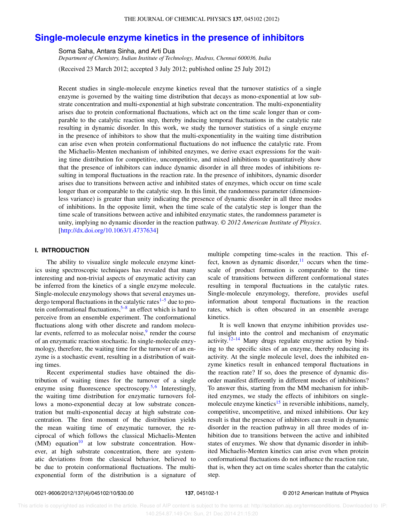#### THE JOURNAL OF CHEMICAL PHYSICS **137**, 045102 (2012)

# **Single-molecule enzyme kinetics in the presence of inhibitors**

Soma Saha, Antara Sinha, and Arti Dua

*Department of Chemistry, Indian Institute of Technology, Madras, Chennai 600036, India*

(Received 23 March 2012; accepted 3 July 2012; published online 25 July 2012)

Recent studies in single-molecule enzyme kinetics reveal that the turnover statistics of a single enzyme is governed by the waiting time distribution that decays as mono-exponential at low substrate concentration and multi-exponential at high substrate concentration. The multi-exponentiality arises due to protein conformational fluctuations, which act on the time scale longer than or comparable to the catalytic reaction step, thereby inducing temporal fluctuations in the catalytic rate resulting in dynamic disorder. In this work, we study the turnover statistics of a single enzyme in the presence of inhibitors to show that the multi-exponentiality in the waiting time distribution can arise even when protein conformational fluctuations do not influence the catalytic rate. From the Michaelis-Menten mechanism of inhibited enzymes, we derive exact expressions for the waiting time distribution for competitive, uncompetitive, and mixed inhibitions to quantitatively show that the presence of inhibitors can induce dynamic disorder in all three modes of inhibitions resulting in temporal fluctuations in the reaction rate. In the presence of inhibitors, dynamic disorder arises due to transitions between active and inhibited states of enzymes, which occur on time scale longer than or comparable to the catalytic step. In this limit, the randomness parameter (dimensionless variance) is greater than unity indicating the presence of dynamic disorder in all three modes of inhibitions. In the opposite limit, when the time scale of the catalytic step is longer than the time scale of transitions between active and inhibited enzymatic states, the randomness parameter is unity, implying no dynamic disorder in the reaction pathway. *© 2012 American Institute of Physics*. [http://dx.doi.org/10.1063/1.4737634]

### **I. INTRODUCTION**

The ability to visualize single molecule enzyme kinetics using spectroscopic techniques has revealed that many interesting and non-trivial aspects of enzymatic activity can be inferred from the kinetics of a single enzyme molecule. Single-molecule enzymology shows that several enzymes undergo temporal fluctuations in the catalytic rates $1-5$  due to protein conformational fluctuations, $5-8$  an effect which is hard to perceive from an ensemble experiment. The conformational fluctuations along with other discrete and random molecular events, referred to as molecular noise, $9$  render the course of an enzymatic reaction stochastic. In single-molecule enzymology, therefore, the waiting time for the turnover of an enzyme is a stochastic event, resulting in a distribution of waiting times.

Recent experimental studies have obtained the distribution of waiting times for the turnover of a single enzyme using fluorescence spectroscopy.<sup>5,6</sup> Interestingly, the waiting time distribution for enzymatic turnovers follows a mono-exponential decay at low substrate concentration but multi-exponential decay at high substrate concentration. The first moment of the distribution yields the mean waiting time of enzymatic turnover, the reciprocal of which follows the classical Michaelis-Menten  $(MM)$  equation<sup>10</sup> at low substrate concentration. However, at high substrate concentration, there are systematic deviations from the classical behavior, believed to be due to protein conformational fluctuations. The multiexponential form of the distribution is a signature of multiple competing time-scales in the reaction. This effect, known as dynamic disorder, $\frac{11}{11}$  occurs when the timescale of product formation is comparable to the timescale of transitions between different conformational states resulting in temporal fluctuations in the catalytic rates. Single-molecule enzymology, therefore, provides useful information about temporal fluctuations in the reaction rates, which is often obscured in an ensemble average kinetics.

It is well known that enzyme inhibition provides useful insight into the control and mechanism of enzymatic activity. $12-14$  Many drugs regulate enzyme action by binding to the specific sites of an enzyme, thereby reducing its activity. At the single molecule level, does the inhibited enzyme kinetics result in enhanced temporal fluctuations in the reaction rate? If so, does the presence of dynamic disorder manifest differently in different modes of inhibitions? To answer this, starting from the MM mechanism for inhibited enzymes, we study the effects of inhibitors on singlemolecule enzyme kinetics $15$  in reversible inhibitions, namely, competitive, uncompetitive, and mixed inhibitions. Our key result is that the presence of inhibitors can result in dynamic disorder in the reaction pathway in all three modes of inhibition due to transitions between the active and inhibited states of enzymes. We show that dynamic disorder in inhibited Michaelis-Menten kinetics can arise even when protein conformational fluctuations do not influence the reaction rate, that is, when they act on time scales shorter than the catalytic step.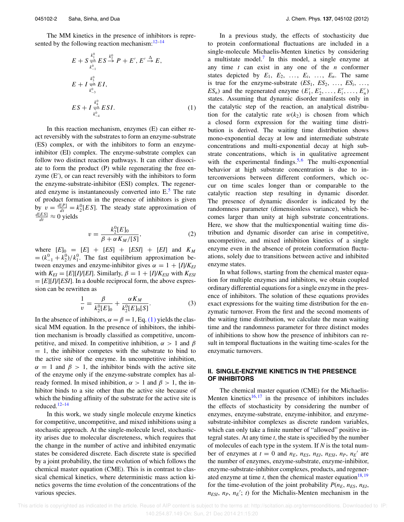The MM kinetics in the presence of inhibitors is represented by the following reaction mechanism: $12-14$ 

$$
E + S \underset{k_{-1}^{0}}{\overset{k_{1}^{0}}{\rightleftharpoons}} ES \overset{k_{2}^{0}}{\xrightarrow{}} P + E', E' \overset{\Delta}{\rightarrow} E,
$$
  
\n
$$
E + I \underset{k_{-3}^{0}}{\overset{k_{3}^{0}}{\rightleftharpoons}} EI,
$$
  
\n
$$
ES + I \underset{k_{-4}^{0}}{\overset{k_{4}^{0}}{\rightleftharpoons}} ESI.
$$
 (1)

In this reaction mechanism, enzymes (E) can either react reversibly with the substrates to form an enzyme-substrate (ES) complex, or with the inhibitors to form an enzymeinhibitor (EI) complex. The enzyme-substrate complex can follow two distinct reaction pathways. It can either dissociate to form the product (P) while regenerating the free enzyme (E′ ), or can react reversibly with the inhibitors to form the enzyme-substrate-inhibitor (ESI) complex. The regenerated enzyme is instantaneously converted into  $E<sup>5</sup>$ . The rate of product formation in the presence of inhibitors is given by  $v = \frac{d[P]}{dt} = k_2^0 [ES]$ . The steady state approximation of  $\frac{d[ES]}{dt} \approx 0$  yields

$$
v = \frac{k_2^0 [E]_0}{\beta + \alpha K_M / [S]},
$$
 (2)

where  $[E]_0 = [E] + [ES] + [ESI] + [EI]$  and  $K_M$  $= (k_{-1}^0 + k_2^0)/k_1^0$ . The fast equilibrium approximation between enzymes and enzyme-inhibitor gives  $\alpha = 1 + [I]/K_{EI}$ with  $K_{EI} = [E][I]/[EI]$ . Similarly,  $\beta = 1 + [I]/K_{ESI}$  with  $K_{ESI}$  $=$   $[E][I]/[ESI]$ . In a double reciprocal form, the above expression can be rewritten as

$$
\frac{1}{v} = \frac{\beta}{k_2^0[E]_0} + \frac{\alpha K_M}{k_2^0[E]_0[S]}.
$$
\n(3)

In the absence of inhibitors,  $\alpha = \beta = 1$ , Eq. (1) yields the classical MM equation. In the presence of inhibitors, the inhibition mechanism is broadly classified as competitive, uncompetitive, and mixed. In competitive inhibition,  $\alpha > 1$  and  $\beta$  $= 1$ , the inhibitor competes with the substrate to bind to the active site of the enzyme. In uncompetitive inhibition,  $\alpha = 1$  and  $\beta > 1$ , the inhibitor binds with the active site of the enzyme only if the enzyme-substrate complex has already formed. In mixed inhibition,  $\alpha > 1$  and  $\beta > 1$ , the inhibitor binds to a site other than the active site because of which the binding affinity of the substrate for the active site is reduced.12–14

In this work, we study single molecule enzyme kinetics for competitive, uncompetitive, and mixed inhibitions using a stochastic approach. At the single-molecule level, stochasticity arises due to molecular discreteness, which requires that the change in the number of active and inhibited enzymatic states be considered discrete. Each discrete state is specified by a joint probability, the time evolution of which follows the chemical master equation (CME). This is in contrast to classical chemical kinetics, where deterministic mass action kinetics governs the time evolution of the concentrations of the various species.

In a previous study, the effects of stochasticity due to protein conformational fluctuations are included in a single-molecule Michaelis-Menten kinetics by considering a multistate model.<sup>7</sup> In this model, a single enzyme at any time *t* can exist in any one of the *n* conformer states depicted by  $E_1$ ,  $E_2$ , ...,  $E_i$ , ...,  $E_n$ . The same is true for the enzyme-substrate  $(ES_1, ES_2, \ldots, ES_i, \ldots,$  $ES_n$ ) and the regenerated enzyme  $(E'_1, E'_2, \ldots, E'_i, \ldots, E'_n)$ states. Assuming that dynamic disorder manifests only in the catalytic step of the reaction, an analytical distribution for the catalytic rate  $w(k_2)$  is chosen from which a closed form expression for the waiting time distribution is derived. The waiting time distribution shows mono-exponential decay at low and intermediate substrate concentrations and multi-exponential decay at high substrate concentrations, which is in qualitative agreement with the experimental findings.<sup>5,6</sup> The multi-exponential behavior at high substrate concentration is due to interconversions between different conformers, which occur on time scales longer than or comparable to the catalytic reaction step resulting in dynamic disorder. The presence of dynamic disorder is indicated by the randomness parameter (dimensionless variance), which becomes larger than unity at high substrate concentrations. Here, we show that the multiexponential waiting time distribution and dynamic disorder can arise in competitive, uncompetitive, and mixed inhibition kinetics of a single enzyme even in the absence of protein conformation fluctuations, solely due to transitions between active and inhibited enzyme states.

In what follows, starting from the chemical master equation for multiple enzymes and inhibitors, we obtain coupled ordinary differential equations for a single enzyme in the presence of inhibitors. The solution of these equations provides exact expressions for the waiting time distribution for the enzymatic turnover. From the first and the second moments of the waiting time distribution, we calculate the mean waiting time and the randomness parameter for three distinct modes of inhibitions to show how the presence of inhibitors can result in temporal fluctuations in the waiting time-scales for the enzymatic turnovers.

### **II. SINGLE-ENZYME KINETICS IN THE PRESENCE OF INHIBITORS**

The chemical master equation (CME) for the Michaelis-Menten kinetics<sup>16, 17</sup> in the presence of inhibitors includes the effects of stochasticity by considering the number of enzymes, enzyme-substrate, enzyme-inhibitor, and enzymesubstrate-inhibitor complexes as discrete random variables, which can only take a finite number of "allowed" positive integral states. At any time *t*, the state is specified by the number of molecules of each type in the system. If *N* is the total number of enzymes at  $t = 0$  and  $n_E$ ,  $n_{ES}$ ,  $n_{EI}$ ,  $n_{ESI}$ ,  $n_P$ ,  $n_E'$  are the number of enzymes, enzyme-substrate, enzyme-inhibitor, enzyme-substrate-inhibitor complexes, products, and regenerated enzyme at time  $t$ , then the chemical master equation<sup>18, 19</sup> for the time-evolution of the joint probability  $P(n_E, n_{ES}, n_{EI},$  $n_{ESI}$ ,  $n_P$ ,  $n_E'$ ; *t*) for the Michalis-Menten mechanism in the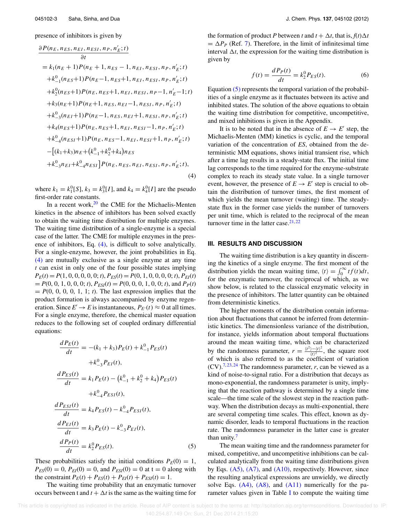presence of inhibitors is given by

$$
\frac{\partial P(n_E, n_{ES}, n_{EI}, n_{ESI}, n_P, n'_E; t)}{\partial t}
$$
\n=  $k_1(n_E + 1)P(n_E + 1, n_{ES} - 1, n_{EI}, n_{ESI}, n_P, n'_E; t)$   
\n+  $k_{-1}^0(n_{ES}+1)P(n_E-1, n_{ES}+1, n_{EI}, n_{ESI}, n_P, n'_E; t)$   
\n+  $k_2^0(n_{ES}+1)P(n_E, n_{ES}+1, n_{EI}, n_{ESI}, n_P-1, n'_E-1; t)$   
\n+  $k_3(n_E+1)P(n_E+1, n_{ES}, n_{EI} - 1, n_{ESI}, n_P, n'_E; t)$   
\n+  $k_{-3}^0(n_{EI}+1)P(n_E-1, n_{ES}, n_{EI}+1, n_{ESI}, n_P, n'_E; t)$   
\n+  $k_4(n_{ES}+1)P(n_E, n_{ES}+1, n_{EI}, n_{ESI} - 1, n_P, n'_E; t)$   
\n+  $k_{-4}^0(n_{ESI}+1)P(n_E, n_{ES} - 1, n_{EI}, n_{ESI} + 1, n_P, n'_E; t)$   
\n-  $[(k_1+k_3)n_E + (k_{-1}^0 + k_2^0 + k_4)n_{ES}$   
\n+  $k_{-3}^0n_{EI} + k_{-4}^0n_{ESI}]P(n_E, n_{ES}, n_{EI}, n_{ESI}, n_P, n'_E; t)$ , (4)

 $\sim$ 

where  $k_1 = k_1^0[S], k_3 = k_3^0[I]$ , and  $k_4 = k_4^0[I]$  are the pseudo first-order rate constants.

In a recent work, $20$  the CME for the Michaelis-Menten kinetics in the absence of inhibitors has been solved exactly to obtain the waiting time distribution for multiple enzymes. The waiting time distribution of a single-enzyme is a special case of the latter. The CME for multiple enzymes in the presence of inhibitors, Eq. (4), is difficult to solve analytically. For a single-enzyme, however, the joint probabilities in Eq. (4) are mutually exclusive as a single enzyme at any time *t* can exist in only one of the four possible states implying  $P_E(t) = P(1, 0, 0, 0, 0, 0; t)$ ,  $P_{ES}(t) = P(0, 1, 0, 0, 0, 0; t)$ ,  $P_{EI}(t)$  $= P(0, 0, 1, 0, 0, 0; t), P_{ESI}(t) = P(0, 0, 0, 1, 0, 0; t)$ , and  $P_P(t)$  $= P(0, 0, 0, 0, 1, 1; t)$ . The last expression implies that the product formation is always accompanied by enzyme regeneration. Since  $E' \to E$  is instantaneous,  $P_{E'}(t) \approx 0$  at all times. For a single enzyme, therefore, the chemical master equation reduces to the following set of coupled ordinary differential equations:

$$
\frac{dP_E(t)}{dt} = -(k_1 + k_3)P_E(t) + k_{-1}^0 P_{ES}(t)
$$

$$
+ k_{-3}^0 P_{EI}(t),
$$

$$
\frac{dP_{ES}(t)}{dt} = k_1 P_E(t) - (k_{-1}^0 + k_2^0 + k_4)P_{ES}(t)
$$

$$
+ k_{-4}^0 P_{ESI}(t),
$$

$$
\frac{dP_{ESI}(t)}{dt} = k_4 P_{ES}(t) - k_{-4}^0 P_{ESI}(t),
$$

$$
\frac{dP_{EI}(t)}{dt} = k_3 P_E(t) - k_{-3}^0 P_{EI}(t),
$$

$$
\frac{dP_P(t)}{dt} = k_2^0 P_{ES}(t).
$$
(5)

These probabilities satisfy the initial conditions  $P_E(0) = 1$ ,  $P_{ES}(0) = 0$ ,  $P_{EI}(0) = 0$ , and  $P_{ESI}(0) = 0$  at  $t = 0$  along with the constraint  $P_E(t) + P_{ES}(t) + P_{EI}(t) + P_{ESI}(t) = 1$ .

The waiting time probability that an enzymatic turnover occurs between t and  $t + \Delta t$  is the same as the waiting time for the formation of product *P* between *t* and  $t + \Delta t$ , that is,  $f(t)\Delta t$  $= \Delta P_P$  (Ref. 7). Therefore, in the limit of infinitesimal time interval  $\Delta t$ , the expression for the waiting time distribution is given by

$$
f(t) = \frac{dP_P(t)}{dt} = k_2^0 P_{ES}(t).
$$
 (6)

Equation (5) represents the temporal variation of the probabilities of a single enzyme as it fluctuates between its active and inhibited states. The solution of the above equations to obtain the waiting time distribution for competitive, uncompetitive, and mixed inhibitions is given in the Appendix.

It is to be noted that in the absence of  $E \to E'$  step, the Michaelis-Menten (MM) kinetics is cyclic, and the temporal variation of the concentration of *ES*, obtained from the deterministic MM equations, shows initial transient rise, which after a time lag results in a steady-state flux. The initial time lag corresponds to the time required for the enzyme-substrate complex to reach its steady state value. In a single turnover event, however, the presence of  $E \to E'$  step is crucial to obtain the distribution of turnover times, the first moment of which yields the mean turnover (waiting) time. The steadystate flux in the former case yields the number of turnovers per unit time, which is related to the reciprocal of the mean turnover time in the latter case. $21, 22$ 

#### **III. RESULTS AND DISCUSSION**

The waiting time distribution is a key quantity in discerning the kinetics of a single enzyme. The first moment of the distribution yields the mean waiting time,  $\langle t \rangle = \int_0^\infty t f(t) dt$ , for the enzymatic turnover, the reciprocal of which, as we show below, is related to the classical enzymatic velocity in the presence of inhibitors. The latter quantity can be obtained from deterministic kinetics.

The higher moments of the distribution contain information about fluctuations that cannot be inferred from deterministic kinetics. The dimensionless variance of the distribution, for instance, yields information about temporal fluctuations around the mean waiting time, which can be characterized by the randomness parameter,  $r = \frac{(t^2) - (t)^2}{(t^2)}$  $\frac{\partial^2 f}{\partial t^2}$ , the square root of which is also referred to as the coefficient of variation  $(CV)$ .<sup>7, 23, 24</sup> The randomness parameter, *r*, can be viewed as a kind of noise-to-signal ratio. For a distribution that decays as mono-exponential, the randomness parameter is unity, implying that the reaction pathway is determined by a single time scale—the time scale of the slowest step in the reaction pathway. When the distribution decays as multi-exponential, there are several competing time scales. This effect, known as dynamic disorder, leads to temporal fluctuations in the reaction rate. The randomness parameter in the latter case is greater than unity.<sup>7</sup>

The mean waiting time and the randomness parameter for mixed, competitive, and uncompetitive inhibitions can be calculated analytically from the waiting time distributions given by Eqs. (A5), (A7), and (A10), respectively. However, since the resulting analytical expressions are unwieldy, we directly solve Eqs.  $(A4)$ ,  $(A8)$ , and  $(A11)$  numerically for the parameter values given in Table I to compute the waiting time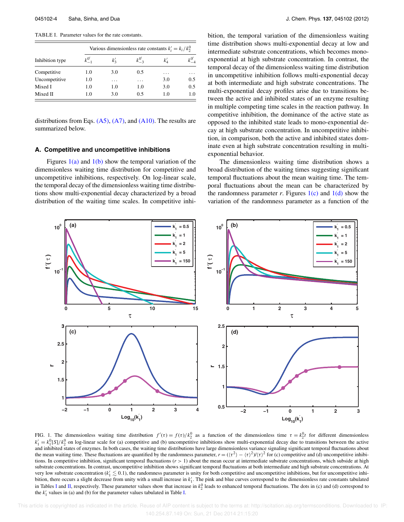TABLE I. Parameter values for the rate constants.

| Inhibition type | Various dimensionless rate constants $k'_i = k_i / k_i^0$ |          |          |          |     |  |
|-----------------|-----------------------------------------------------------|----------|----------|----------|-----|--|
|                 | $k_{-1}^{0'}$                                             | $k'_{2}$ | $k^{0'}$ | $k'_{A}$ |     |  |
| Competitive     | 1.0                                                       | 3.0      | 0.5      | .        | .   |  |
| Uncompetitive   | 1.0                                                       | .        | .        | 3.0      | 0.5 |  |
| Mixed I         | 1.0                                                       | 1.0      | 1.0      | 3.0      | 0.5 |  |
| Mixed II        | 1.0                                                       | 3.0      | 0.5      | 1.0      | 1.0 |  |

distributions from Eqs.  $(A5)$ ,  $(A7)$ , and  $(A10)$ . The results are summarized below.

#### **A. Competitive and uncompetitive inhibitions**

Figures  $1(a)$  and  $1(b)$  show the temporal variation of the dimensionless waiting time distribution for competitive and uncompetitive inhibitions, respectively. On log-linear scale, the temporal decay of the dimensionless waiting time distributions show multi-exponential decay characterized by a broad distribution of the waiting time scales. In competitive inhibition, the temporal variation of the dimensionless waiting time distribution shows multi-exponential decay at low and intermediate substrate concentrations, which becomes monoexponential at high substrate concentration. In contrast, the temporal decay of the dimensionless waiting time distribution in uncompetitive inhibition follows multi-exponential decay at both intermediate and high substrate concentrations. The multi-exponential decay profiles arise due to transitions between the active and inhibited states of an enzyme resulting in multiple competing time scales in the reaction pathway. In competitive inhibition, the dominance of the active state as opposed to the inhibited state leads to mono-exponential decay at high substrate concentration. In uncompetitive inhibition, in comparison, both the active and inhibited states dominate even at high substrate concentration resulting in multiexponential behavior.

The dimensionless waiting time distribution shows a broad distribution of the waiting times suggesting significant temporal fluctuations about the mean waiting time. The temporal fluctuations about the mean can be characterized by the randomness parameter *r*. Figures  $1(c)$  and  $1(d)$  show the variation of the randomness parameter as a function of the



FIG. 1. The dimensionless waiting time distribution  $f'(t) = f(t)/k_2^0$  as a function of the dimensionless time  $\tau = k_2^0 t$  for different dimensionless  $k'_1 = k_1^0$ [S]/ $k_2^0$  on log-linear scale for (a) competitive and (b) uncompetitive inhibitions show multi-exponential decay due to transitions between the active and inhibited states of enzymes. In both cases, the waiting time distributions have large dimensionless variance signaling significant temporal fluctuations about the mean waiting time. These fluctuations are quantified by the randomness parameter,  $r = (\langle \tau^2 \rangle - \langle \tau \rangle^2) / (\tau)^2$  for (c) competitive and (d) uncompetitive inhibitions. In competitive inhibition, significant temporal fluctuations ( $r > 1$ ) about the mean occur at intermediate substrate concentrations, which subside at high substrate concentrations. In contrast, uncompetitive inhibition shows significant temporal fluctuations at both intermediate and high substrate concentrations. At very low substrate concentration ( $k'_1 \lesssim 0.1$ ), the randomness parameter is unity for both competitive and uncompetitive inhibitions, but for uncompetitive inhibition, there occurs a slight decrease from unity with a small increase in  $k'_1$ . The pink and blue curves correspond to the dimensionless rate constants tabulated in Tables I and II, respectively. These parameter values show that increase in  $k_2^0$  leads to enhanced temporal fluctuations. The dots in (c) and (d) correspond to the  $k'_1$  values in (a) and (b) for the parameter values tabulated in Table I.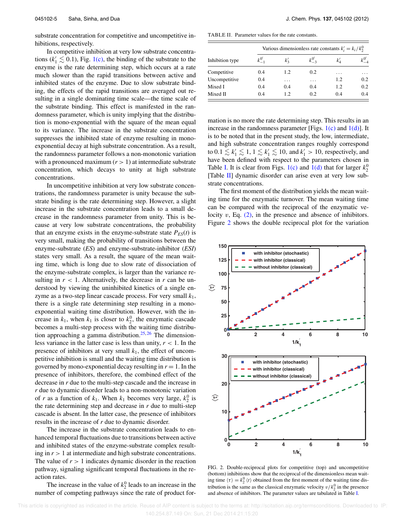substrate concentration for competitive and uncompetitive inhibitions, respectively.

In competitive inhibition at very low substrate concentrations ( $k'_1 \lesssim 0.1$ ), Fig. 1(c), the binding of the substrate to the enzyme is the rate determining step, which occurs at a rate much slower than the rapid transitions between active and inhibited states of the enzyme. Due to slow substrate binding, the effects of the rapid transitions are averaged out resulting in a single dominating time scale—the time scale of the substrate binding. This effect is manifested in the randomness parameter, which is unity implying that the distribution is mono-exponential with the square of the mean equal to its variance. The increase in the substrate concentration suppresses the inhibited state of enzyme resulting in monoexponential decay at high substrate concentration. As a result, the randomness parameter follows a non-monotonic variation with a pronounced maximum  $(r > 1)$  at intermediate substrate concentration, which decays to unity at high substrate concentrations.

In uncompetitive inhibition at very low substrate concentrations, the randomness parameter is unity because the substrate binding is the rate determining step. However, a slight increase in the substrate concentration leads to a small decrease in the randomness parameter from unity. This is because at very low substrate concentrations, the probability that an enzyme exists in the enzyme-substrate state  $P_{ES}(t)$  is very small, making the probability of transitions between the enzyme-substrate (*ES*) and enzyme-substrate-inhibitor (*ESI*) states very small. As a result, the square of the mean waiting time, which is long due to slow rate of dissociation of the enzyme-substrate complex, is larger than the variance resulting in  $r < 1$ . Alternatively, the decrease in  $r$  can be understood by viewing the uninhibited kinetics of a single enzyme as a two-step linear cascade process. For very small *k*1, there is a single rate determining step resulting in a monoexponential waiting time distribution. However, with the increase in  $k_1$ , when  $k_1$  is closer to  $k_2^0$ , the enzymatic cascade becomes a multi-step process with the waiting time distribution approaching a gamma distribution.<sup>25, 26</sup> The dimensionless variance in the latter case is less than unity,  $r < 1$ . In the presence of inhibitors at very small  $k_1$ , the effect of uncompetitive inhibition is small and the waiting time distribution is governed by mono-exponential decay resulting in  $r = 1$ . In the presence of inhibitors, therefore, the combined effect of the decrease in *r* due to the multi-step cascade and the increase in *r* due to dynamic disorder leads to a non-monotonic variation of *r* as a function of  $k_1$ . When  $k_1$  becomes very large,  $k_2^0$  is the rate determining step and decrease in *r* due to multi-step cascade is absent. In the latter case, the presence of inhibitors results in the increase of *r* due to dynamic disorder.

The increase in the substrate concentration leads to enhanced temporal fluctuations due to transitions between active and inhibited states of the enzyme-substrate complex resulting in  $r > 1$  at intermediate and high substrate concentrations. The value of  $r > 1$  indicates dynamic disorder in the reaction pathway, signaling significant temporal fluctuations in the reaction rates.

The increase in the value of  $k_2^0$  leads to an increase in the number of competing pathways since the rate of product for-

TABLE II. Parameter values for the rate constants.

| Inhibition type | Various dimensionless rate constants $k'_i = k_i / k_i^0$ |                  |               |          |     |  |  |
|-----------------|-----------------------------------------------------------|------------------|---------------|----------|-----|--|--|
|                 | $k_{-1}^{0'}$                                             | $k_{2}^{\prime}$ | $k_{-3}^{0'}$ | $k'_{A}$ |     |  |  |
| Competitive     | 0.4                                                       | 12.              | 0.2           | .        | .   |  |  |
| Uncompetitive   | 0.4                                                       | .                | $\cdots$      | 1.2      | 0.2 |  |  |
| Mixed I         | 0.4                                                       | 0.4              | 0.4           | 1.2      | 0.2 |  |  |
| Mixed II        | 0.4                                                       | 12               | 0.2           | 0.4      | 0.4 |  |  |

mation is no more the rate determining step. This results in an increase in the randomness parameter [Figs.  $1(c)$  and  $1(d)$ ]. It is to be noted that in the present study, the low, intermediate, and high substrate concentration ranges roughly correspond to  $0.1 \lesssim k'_1 \lesssim 1, 1 \lesssim k'_1 \lesssim 10$ , and  $k'_1 > 10$ , respectively, and have been defined with respect to the parameters chosen in Table I. It is clear from Figs. 1(c) and 1(d) that for larger  $k_2^0$ [Table  $\text{II}$ ] dynamic disorder can arise even at very low substrate concentrations.

The first moment of the distribution yields the mean waiting time for the enzymatic turnover. The mean waiting time can be compared with the reciprocal of the enzymatic velocity  $v$ , Eq.  $(2)$ , in the presence and absence of inhibitors. Figure 2 shows the double reciprocal plot for the variation



FIG. 2. Double-reciprocal plots for competitive (top) and uncompetitive (bottom) inhibitions show that the reciprocal of the dimensionless mean waiting time  $\langle \tau \rangle = k_2^0 \langle t \rangle$  obtained from the first moment of the waiting time distribution is the same as the classical enzymatic velocity  $v/k_2^0$  in the presence and absence of inhibitors. The parameter values are tabulated in Table I.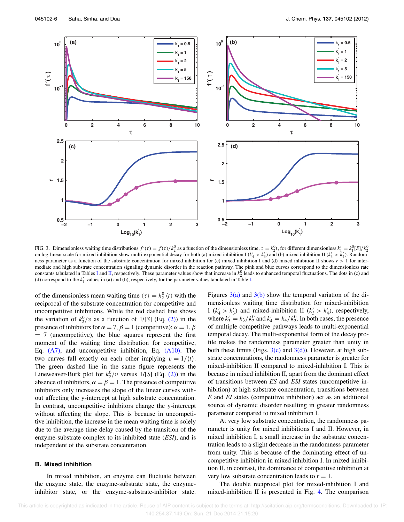

FIG. 3. Dimensionless waiting time distributions  $f'(\tau) = f(\tau)/k_2^0$  as a function of the dimensionless time,  $\tau = k_2^0 t$ , for different dimensionless  $k'_1 = k_1^0 [S]/k_2^0$ on log-linear scale for mixed inhibition show multi-exponential decay for both (a) mixed inhibition I ( $k'_4 > k'_3$ ) and (b) mixed inhibition II ( $k'_3 > k'_4$ ). Randomness parameter as a function of the substrate concentration for mixed inhibition for (c) mixed inhibition I and (d) mixed inhibition II shows  $r > 1$  for intermediate and high substrate concentration signaling dynamic disorder in the reaction pathway. The pink and blue curves correspond to the dimensionless rate constants tabulated in Tables I and II, respectively. These parameter values show that increase in  $k_2^0$  leads to enhanced temporal fluctuations. The dots in (c) and (d) correspond to the  $k'_1$  values in (a) and (b), respectively, for the parameter values tabulated in Table I.

of the dimensionless mean waiting time  $\langle \tau \rangle = k_2^0 \langle t \rangle$  with the reciprocal of the substrate concentration for competitive and uncompetitive inhibitions. While the red dashed line shows the variation of  $k_2^0/v$  as a function of  $1/[S]$  (Eq. (2)) in the presence of inhibitors for  $\alpha = 7$ ,  $\beta = 1$  (competitive);  $\alpha = 1$ ,  $\beta$ = 7 (uncompetitive), the blue squares represent the first moment of the waiting time distribution for competitive, Eq.  $(A7)$ , and uncompetitive inhibition, Eq.  $(A10)$ . The two curves fall exactly on each other implying  $v = 1/(t)$ . The green dashed line in the same figure represents the Lineweaver-Burk plot for  $k_2^0/v$  versus  $1/[S]$  (Eq. (2)) in the absence of inhibitors,  $\alpha = \beta = 1$ . The presence of competitive inhibitors only increases the slope of the linear curves without affecting the y-intercept at high substrate concentration. In contrast, uncompetitive inhibitors change the y-intercept without affecting the slope. This is because in uncompetitive inhibition, the increase in the mean waiting time is solely due to the average time delay caused by the transition of the enzyme-substrate complex to its inhibited state (*ESI*), and is independent of the substrate concentration.

### **B. Mixed inhibition**

In mixed inhibition, an enzyme can fluctuate between the enzyme state, the enzyme-substrate state, the enzymeinhibitor state, or the enzyme-substrate-inhibitor state. Figures  $3(a)$  and  $3(b)$  show the temporal variation of the dimensionless waiting time distribution for mixed-inhibition I ( $k'_4 > k'_3$ ) and mixed-inhibition II ( $k'_3 > k'_4$ ), respectively, where  $k'_3 = k_3/k_2^0$  and  $k'_4 = k_4/k_2^0$ . In both cases, the presence of multiple competitive pathways leads to multi-exponential temporal decay. The multi-exponential form of the decay profile makes the randomness parameter greater than unity in both these limits (Figs.  $3(c)$  and  $3(d)$ ). However, at high substrate concentrations, the randomness parameter is greater for mixed-inhibition II compared to mixed-inhibition I. This is because in mixed inhibition II, apart from the dominant effect of transitions between *ES* and *ESI* states (uncompetitive inhibition) at high substrate concentration, transitions between *E* and *EI* states (competitive inhibition) act as an additional source of dynamic disorder resulting in greater randomness parameter compared to mixed inhibition I.

At very low substrate concentration, the randomness parameter is unity for mixed inhibitions I and II. However, in mixed inhibition I, a small increase in the substrate concentration leads to a slight decrease in the randomness parameter from unity. This is because of the dominating effect of uncompetitive inhibition in mixed inhibition I. In mixed inhibition II, in contrast, the dominance of competitive inhibition at very low substrate concentration leads to  $r = 1$ .

The double reciprocal plot for mixed-inhibition I and mixed-inhibition II is presented in Fig. 4. The comparison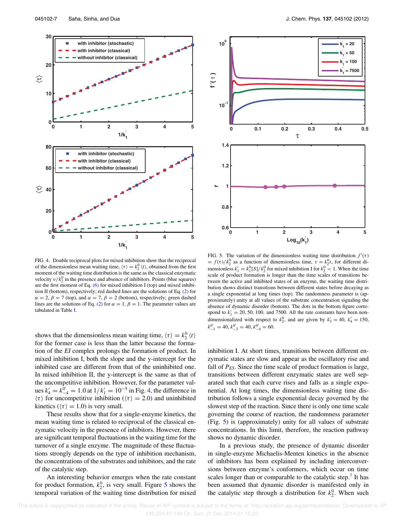

FIG. 4. Double reciprocal plots for mixed inhibition show that the reciprocal of the dimensionless mean waiting time,  $\langle \tau \rangle = k_2^0 \langle t \rangle$ , obtained from the first moment of the waiting time distribution is the same as the classical enzymatic velocity  $v/k_2^0$  in the presence and absence of inhibitors. Points (blue squares) are the first moment of Eq.  $(6)$  for mixed inhibition I (top) and mixed inhibition II (bottom), respectively; red dashed lines are the solutions of Eq. (2) for  $\alpha = 2$ ,  $\beta = 7$  (top), and  $\alpha = 7$ ,  $\beta = 2$  (bottom), respectively; green dashed lines are the solutions of Eq. (2) for  $\alpha = 1$ ,  $\beta = 1$ . The parameter values are tabulated in Table I.

shows that the dimensionless mean waiting time,  $\langle \tau \rangle = k_2^0 \langle t \rangle$ for the former case is less than the latter because the formation of the *EI* complex prolongs the formation of product. In mixed inhibition I, both the slope and the y-intercept for the inhibited case are different from that of the uninhibited one. In mixed inhibition II, the y-intercept is the same as that of the uncompetitive inhibition. However, for the parameter values  $k'_4 = k_{-4}^{\bar{0}'} = 1.0$  at  $1/k'_1 = 10^{-5}$  in Fig. 4, the difference in  $\langle \tau \rangle$  for uncompetitive inhibition ( $\langle \tau \rangle = 2.0$ ) and uninhibited kinetics ( $\langle \tau \rangle = 1.0$ ) is very small.

These results show that for a single-enzyme kinetics, the mean waiting time is related to reciprocal of the classical enzymatic velocity in the presence of inhibitors. However, there are significant temporal fluctuations in the waiting time for the turnover of a single enzyme. The magnitude of these fluctuations strongly depends on the type of inhibition mechanism, the concentrations of the substrates and inhibitors, and the rate of the catalytic step.

An interesting behavior emerges when the rate constant for product formation,  $k_2^0$ , is very small. Figure 5 shows the temporal variation of the waiting time distribution for mixed



FIG. 5. The variation of the dimensionless waiting time distribution  $f'(\tau)$ =  $f(\tau)/k_2^0$  as a function of dimensionless time,  $\tau = k_2^0 t$ , for different dimensionless  $k'_1 = k_1^0 [S]/k_2^0$  for mixed inhibition I for  $k_2^0 < 1$ . When the time scale of product formation is longer than the time scales of transitions between the active and inhibited states of an enzyme, the waiting time distribution shows distinct transitions between different states before decaying as a single exponential at long times (top). The randomness parameter is (approximately) unity at all values of the substrate concentration signaling the absence of dynamic disorder (bottom). The dots in the bottom figure correspond to  $k'_1 = 20, 50, 100,$  and 7500. All the rate constants have been nondimensionalized with respect to  $k_2^0$ , and are given by  $k'_3 = 40$ ,  $k'_4 = 150$ ,  $k_{-1}^{0'} = 40, k_{-3}^{0'} = 40, k_{-4}^{0'} = 60.$ 

inhibition I. At short times, transitions between different enzymatic states are slow and appear as the oscillatory rise and fall of  $P_{ES}$ . Since the time scale of product formation is large, transitions between different enzymatic states are well separated such that each curve rises and falls as a single exponential. At long times, the dimensionless waiting time distribution follows a single exponential decay governed by the slowest step of the reaction. Since there is only one time scale governing the course of reaction, the randomness parameter (Fig. 5) is (approximately) unity for all values of substrate concentrations. In this limit, therefore, the reaction pathway shows no dynamic disorder.

In a previous study, the presence of dynamic disorder in single-enzyme Michaelis-Menten kinetics in the absence of inhibitors has been explained by including interconversions between enzyme's conformers, which occur on time scales longer than or comparable to the catalytic step.<sup>7</sup> It has been assumed that dynamic disorder is manifested only in the catalytic step through a distribution for  $k_2^0$ . When such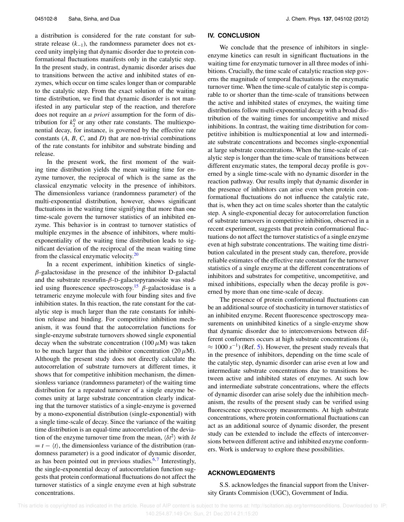a distribution is considered for the rate constant for substrate release  $(k_{-1})$ , the randomness parameter does not exceed unity implying that dynamic disorder due to protein conformational fluctuations manifests only in the catalytic step. In the present study, in contrast, dynamic disorder arises due to transitions between the active and inhibited states of enzymes, which occur on time scales longer than or comparable to the catalytic step. From the exact solution of the waiting time distribution, we find that dynamic disorder is not manifested in any particular step of the reaction, and therefore does not require an *a priori* assumption for the form of distribution for  $k_2^0$  or any other rate constants. The multiexponential decay, for instance, is governed by the effective rate constants (*A*, *B*, *C*, and *D*) that are non-trivial combinations of the rate constants for inhibitor and substrate binding and release.

In the present work, the first moment of the waiting time distribution yields the mean waiting time for enzyme turnover, the reciprocal of which is the same as the classical enzymatic velocity in the presence of inhibitors. The dimensionless variance (randomness parameter) of the multi-exponential distribution, however, shows significant fluctuations in the waiting time signifying that more than one time-scale govern the turnover statistics of an inhibited enzyme. This behavior is in contrast to turnover statistics of multiple enzymes in the absence of inhibitors, where multiexponentiality of the waiting time distribution leads to significant deviation of the reciprocal of the mean waiting time from the classical enzymatic velocity.<sup>20</sup>

In a recent experiment, inhibition kinetics of single- $\beta$ -galactosidase in the presence of the inhibitor D-galactal and the substrate resorufin- $\beta$ -D-galactopyranoside was studied using fluorescence spectroscopy.<sup>15</sup>  $\beta$ -galactosidase is a tetrameric enzyme molecule with four binding sites and five inhibition states. In this reaction, the rate constant for the catalytic step is much larger than the rate constants for inhibition release and binding. For competitive inhibition mechanism, it was found that the autocorrelation functions for single-enzyme substrate turnovers showed single exponential decay when the substrate concentration (100  $\mu$ M) was taken to be much larger than the inhibitor concentration  $(20 \mu M)$ . Although the present study does not directly calculate the autocorrelation of substrate turnovers at different times, it shows that for competitive inhibition mechanism, the dimensionless variance (randomness parameter) of the waiting time distribution for a repeated turnover of a single enzyme becomes unity at large substrate concentration clearly indicating that the turnover statistics of a single-enzyme is governed by a mono-exponential distribution (single-exponential) with a single time-scale of decay. Since the variance of the waiting time distribution is an equal-time autocorrelation of the deviation of the enzyme turnover time from the mean,  $\langle \delta t^2 \rangle$  with  $\delta t$  $= t - \langle t \rangle$ , the dimensionless variance of the distribution (randomness parameter) is a good indicator of dynamic disorder, as has been pointed out in previous studies. $6,7$  Interestingly, the single-exponential decay of autocorrelation function suggests that protein conformational fluctuations do not affect the turnover statistics of a single enzyme even at high substrate concentrations.

## **IV. CONCLUSION**

We conclude that the presence of inhibitors in singleenzyme kinetics can result in significant fluctuations in the waiting time for enzymatic turnover in all three modes of inhibitions. Crucially, the time scale of catalytic reaction step governs the magnitude of temporal fluctuations in the enzymatic turnover time. When the time-scale of catalytic step is comparable to or shorter than the time-scale of transitions between the active and inhibited states of enzymes, the waiting time distributions follow multi-exponential decay with a broad distribution of the waiting times for uncompetitive and mixed inhibitions. In contrast, the waiting time distribution for competitive inhibition is multiexponential at low and intermediate substrate concentrations and becomes single-exponential at large substrate concentrations. When the time-scale of catalytic step is longer than the time-scale of transitions between different enzymatic states, the temporal decay profile is governed by a single time-scale with no dynamic disorder in the reaction pathway. Our results imply that dynamic disorder in the presence of inhibitors can arise even when protein conformational fluctuations do not influence the catalytic rate, that is, when they act on time scales shorter than the catalytic step. A single-exponential decay for autocorrelation function of substrate turnovers in competitive inhibition, observed in a recent experiment, suggests that protein conformational fluctuations do not affect the turnover statistics of a single enzyme even at high substrate concentrations. The waiting time distribution calculated in the present study can, therefore, provide reliable estimates of the effective rate constant for the turnover statistics of a single enzyme at the different concentrations of inhibitors and substrates for competitive, uncompetitive, and mixed inhibitions, especially when the decay profile is governed by more than one time-scale of decay.

The presence of protein conformational fluctuations can be an additional source of stochasticity in turnover statistics of an inhibited enzyme. Recent fluorescence spectroscopy measurements on uninhibited kinetics of a single-enzyme show that dynamic disorder due to interconversions between different conformers occurs at high substrate concentrations (*k*<sup>1</sup>  $\approx 1000 s^{-1}$ ) (Ref. 5). However, the present study reveals that in the presence of inhibitors, depending on the time scale of the catalytic step, dynamic disorder can arise even at low and intermediate substrate concentrations due to transitions between active and inhibited states of enzymes. At such low and intermediate substrate concentrations, where the effects of dynamic disorder can arise solely due the inhibition mechanism, the results of the present study can be verified using fluorescence spectroscopy measurements. At high substrate concentrations, where protein conformational fluctuations can act as an additional source of dynamic disorder, the present study can be extended to include the effects of interconversions between different active and inhibited enzyme conformers. Work is underway to explore these possibilities.

# **ACKNOWLEDGMENTS**

S.S. acknowledges the financial support from the University Grants Commision (UGC), Government of India.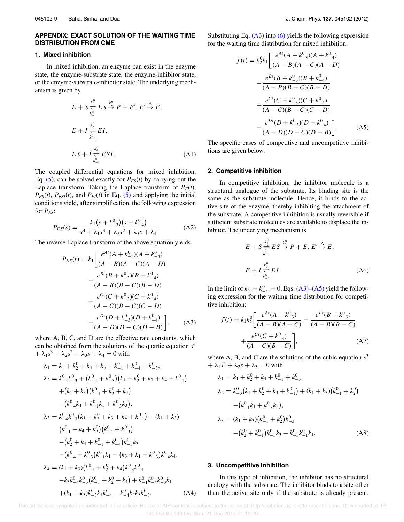# **APPENDIX: EXACT SOLUTION OF THE WAITING TIME DISTRIBUTION FROM CME**

## **1. Mixed inhibition**

In mixed inhibition, an enzyme can exist in the enzyme state, the enzyme-substrate state, the enzyme-inhibitor state, or the enzyme-substrate-inhibitor state. The underlying mechanism is given by

$$
E + S \underset{k_{-1}^{0}}{\overset{k_{1}^{0}}{\rightleftharpoons}} ES \overset{k_{2}^{0}}{\xrightarrow{k}} P + E', E' \overset{\Delta}{\rightarrow} E,
$$
  
\n
$$
E + I \underset{k_{-3}^{0}}{\overset{k_{3}^{0}}{\rightleftharpoons}} EI,
$$
  
\n
$$
ES + I \underset{k_{-4}^{0}}{\overset{k_{4}^{0}}{\rightleftharpoons}} ESI.
$$
 (A1)

The coupled differential equations for mixed inhibition, Eq.  $(5)$ , can be solved exactly for  $P_{ES}(t)$  by carrying out the Laplace transform. Taking the Laplace transform of  $P_E(t)$ ,  $P_{ES}(t)$ ,  $P_{ESI}(t)$ , and  $P_{EI}(t)$  in Eq. (5) and applying the initial conditions yield, after simplification, the following expression for *PES*:

$$
P_{ES}(s) = \frac{k_1(s + k_{-3}^0)(s + k_{-4}^0)}{s^4 + \lambda_1 s^3 + \lambda_2 s^2 + \lambda_3 s + \lambda_4}.
$$
 (A2)

The inverse Laplace transform of the above equation yields,

$$
P_{ES}(t) = k_1 \left[ \frac{e^{At}(A + k_{-3}^0)(A + k_{-4}^0)}{(A - B)(A - C)(A - D)} - \frac{e^{Bt}(B + k_{-3}^0)(B + k_{-4}^0)}{(A - B)(B - C)(B - D)} + \frac{e^{Ct}(C + k_{-3}^0)(C + k_{-4}^0)}{(A - C)(B - C)(C - D)} - \frac{e^{Dt}(D + k_{-3}^0)(D + k_{-4}^0)}{(A - D)(D - C)(D - B)} \right], \quad (A3)
$$

where A, B, C, and D are the effective rate constants, which can be obtained from the solutions of the quartic equation *s* 4  $+ \lambda_1 s^3 + \lambda_2 s^2 + \lambda_3 s + \lambda_4 = 0$  with

$$
\lambda_1 = k_1 + k_2^0 + k_4 + k_3 + k_{-1}^0 + k_{-4}^0 + k_{-3}^0,
$$
  
\n
$$
\lambda_2 = k_{-4}^0 k_{-3}^0 + (k_{-4}^0 + k_{-3}^0)(k_1 + k_2^0 + k_3 + k_4 + k_{-1}^0)
$$
  
\n
$$
+ (k_1 + k_3)(k_{-1}^0 + k_2^0 + k_4)
$$
  
\n
$$
- (k_{-4}^0 k_4 + k_{-1}^0 k_1 + k_{-3}^0 k_3),
$$
  
\n
$$
\lambda_3 = k_{-4}^0 k_{-3}^0 (k_1 + k_2^0 + k_3 + k_4 + k_{-1}^0) + (k_1 + k_3)
$$
  
\n
$$
(k_{-1}^0 + k_4 + k_2^0)(k_{-4}^0 + k_{-3}^0)
$$
  
\n
$$
- (k_2^0 + k_4 + k_{-1}^0 + k_{-4}^0)k_{-3}^0 k_3
$$
  
\n
$$
- (k_{-4}^0 + k_{-3}^0)k_{-1}^0 k_1 - (k_3 + k_1 + k_{-3}^0)k_{-4}^0 k_4,
$$
  
\n
$$
\lambda_4 = (k_1 + k_3)(k_{-1}^0 + k_2^0 + k_4)k_{-3}^0 k_{-4}^0
$$
  
\n
$$
-k_3k_{-4}^0 k_{-3}^0 (k_{-1}^0 + k_2^0 + k_4) + k_{-1}^0 k_{-4}^0 k_{-3}^0 k_1
$$
  
\n
$$
+ (k_1 + k_3)k_{-3}^0 k_4 k_{-4}^0 - k_{-4}^0 k_4 k_3 k_{-3}^0.
$$
  
\n(A4)

Substituting Eq.  $(A3)$  into  $(6)$  yields the following expression for the waiting time distribution for mixed inhibition:

$$
f(t) = k_2^0 k_1 \left[ \frac{e^{At}(A + k_{-3}^0)(A + k_{-4}^0)}{(A - B)(A - C)(A - D)} - \frac{e^{Bt}(B + k_{-3}^0)(B + k_{-4}^0)}{(A - B)(B - C)(B - D)} + \frac{e^{Ct}(C + k_{-3}^0)(C + k_{-4}^0)}{(A - C)(B - C)(C - D)} - \frac{e^{Dt}(D + k_{-3}^0)(D + k_{-4}^0)}{(A - D)(D - C)(D - B)} \right].
$$
 (A5)

The specific cases of competitive and uncompetitive inhibitions are given below.

#### **2. Competitive inhibition**

In competitive inhibition, the inhibitor molecule is a structural analogue of the substrate. Its binding site is the same as the substrate molecule. Hence, it binds to the active site of the enzyme, thereby inhibiting the attachment of the substrate. A competitive inhibition is usually reversible if sufficient substrate molecules are available to displace the inhibitor. The underlying mechanism is

$$
E + S \underset{k_{-1}^0}{\overset{k_1^0}{\rightleftharpoons}} ES \overset{k_2^0}{\overset{\rightarrow}{\rightarrow}} P + E, E' \overset{\Delta}{\rightarrow} E,
$$
  
\n
$$
E + I \underset{k_{-3}^0}{\overset{k_3^0}{\rightleftharpoons}} EI.
$$
 (A6)

In the limit of  $k_4 = k_{-4}^0 = 0$ , Eqs. (A3)–(A5) yield the following expression for the waiting time distribution for competitive inhibition:

$$
f(t) = k_1 k_2^0 \left[ \frac{e^{At}(A + k_{-3}^0)}{(A - B)(A - C)} - \frac{e^{Bt}(B + k_{-3}^0)}{(A - B)(B - C)} + \frac{e^{Ct}(C + k_{-3}^0)}{(A - C)(B - C)} \right],
$$
\n(A7)

where A, B, and C are the solutions of the cubic equation  $s<sup>3</sup>$  $+ \lambda_1 s^2 + \lambda_2 s + \lambda_3 = 0$  with

$$
\lambda_1 = k_1 + k_2^0 + k_3 + k_{-1}^0 + k_{-3}^0,
$$
  
\n
$$
\lambda_2 = k_{-3}^0 (k_1 + k_2^0 + k_3 + k_{-1}^0) + (k_1 + k_3)(k_{-1}^0 + k_2^0)
$$
  
\n
$$
- (k_{-1}^0 k_1 + k_{-3}^0 k_3),
$$
  
\n
$$
\lambda_3 = (k_1 + k_3)(k_{-1}^0 + k_2^0)k_{-3}^0
$$
  
\n
$$
- (k_2^0 + k_{-1}^0)k_{-3}^0 k_3 - k_{-3}^0 k_{-1}^0 k_1.
$$
 (A8)

#### **3. Uncompetitive inhibition**

In this type of inhibition, the inhibitor has no structural analogy with the substrate. The inhibitor binds to a site other than the active site only if the substrate is already present.

This article is copyrighted as indicated in the article. Reuse of AIP content is subject to the terms at: http://scitation.aip.org/termsconditions. Downloaded to IP: 140.254.87.149 On: Sun, 21 Dec 2014 21:15:20